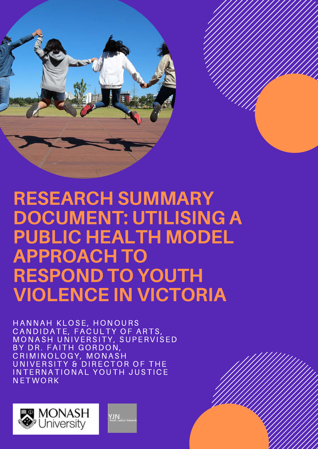

### RESEARCH SUMMARY DOCUMENT: UTILISING A PUBLIC HEALTH MODEL APPROACH TO RESPOND TO YOUTH VIOLENCE IN VICTORIA

HANNAH KLOSE, HONOURS HANNAH KLOSE, HONOURS<br>CANDIDATE, FACULTY OF ARTS, CANDIDATE, FACULTY OF ARTS,<br>MONASH UNIVERSITY, SUPERVISED BY DR. FAITH GORDON, CRIMINOLOGY, MONASH UNIVERSITY & DIRECTOR OF THE INTERNATIONAL YOUTH JUSTICE **NETWORK** 

**YJN**<br>Youth Justice Ne

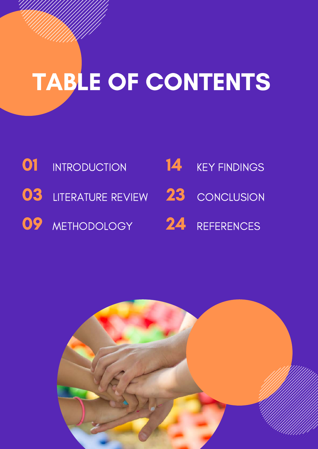# TABLE OF CONTENTS

- **01** INTRODUCTION 03 LITERATURE REVIEW 23 CONCLUSION 14 KEY FINDINGS
- 09 METHODOLOGY 24 REFERENCES
	-

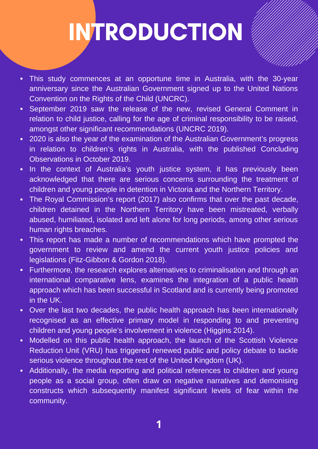## INTRODUCTION

- This study commences at an opportune time in Australia, with the 30-year anniversary since the Australian Government signed up to the United Nations Convention on the Rights of the Child (UNCRC).
- September 2019 saw the release of the new, revised General Comment in relation to child justice, calling for the age of criminal responsibility to be raised, amongst other significant recommendations (UNCRC 2019).
- 2020 is also the year of the examination of the Australian Government's progress in relation to children's rights in Australia, with the published Concluding Observations in October 2019.
- In the context of Australia's youth justice system, it has previously been acknowledged that there are serious concerns surrounding the treatment of children and young people in detention in Victoria and the Northern Territory.
- The Royal Commission's report (2017) also confirms that over the past decade, children detained in the Northern Territory have been mistreated, verbally abused, humiliated, isolated and left alone for long periods, among other serious human rights breaches.
- This report has made a number of recommendations which have prompted the government to review and amend the current youth justice policies and legislations (Fitz-Gibbon & Gordon 2018).
- Furthermore, the research explores alternatives to criminalisation and through an international comparative lens, examines the integration of a public health approach which has been successful in Scotland and is currently being promoted in the UK.
- Over the last two decades, the public health approach has been internationally recognised as an effective primary model in responding to and preventing children and young people's involvement in violence (Higgins 2014).
- Modelled on this public health approach, the launch of the Scottish Violence  $\bullet$  . Reduction Unit (VRU) has triggered renewed public and policy debate to tackle serious violence throughout the rest of the United Kingdom (UK).
- Additionally, the media reporting and political references to children and young people as a social group, often draw on negative narratives and demonising constructs which subsequently manifest significant levels of fear within the community.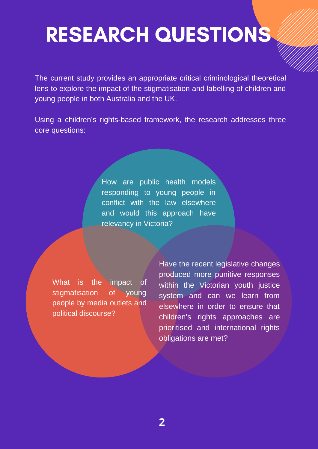### RESEARCH QUESTIONS

The current study provides an appropriate critical criminological theoretical lens to explore the impact of the stigmatisation and labelling of children and young people in both Australia and the UK.

Using a children's rights-based framework, the research addresses three core questions:

> How are public health models responding to young people in conflict with the law elsewhere and would this approach have relevancy in Victoria?

What is the impact of stigmatisation of young people by media outlets and political discourse?

Have the recent legislative changes produced more punitive responses within the Victorian youth justice system and can we learn from elsewhere in order to ensure that children's rights approaches are prioritised and international rights obligations are met?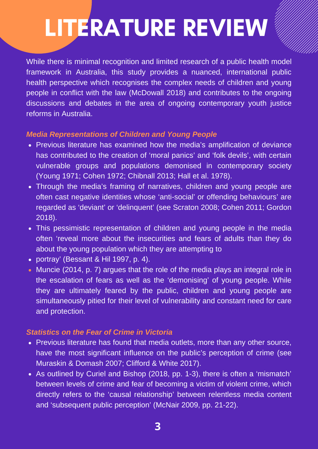# LITERATURE REVIEW

While there is minimal recognition and limited research of a public health model framework in Australia, this study provides a nuanced, international public health perspective which recognises the complex needs of children and young people in conflict with the law (McDowall 2018) and contributes to the ongoing discussions and debates in the area of ongoing contemporary youth justice reforms in Australia.

#### *Media Representations of Children and Young People*

- Previous literature has examined how the media's amplification of deviance has contributed to the creation of 'moral panics' and 'folk devils', with certain vulnerable groups and populations demonised in contemporary society (Young 1971; Cohen 1972; Chibnall 2013; Hall et al. 1978).
- Through the media's framing of narratives, children and young people are often cast negative identities whose 'anti-social' or offending behaviours' are regarded as 'deviant' or 'delinquent' (see Scraton 2008; Cohen 2011; Gordon 2018).
- This pessimistic representation of children and young people in the media often 'reveal more about the insecurities and fears of adults than they do about the young population which they are attempting to
- portray' (Bessant & Hil 1997, p. 4).
- Muncie (2014, p. 7) argues that the role of the media plays an integral role in the escalation of fears as well as the 'demonising' of young people. While they are ultimately feared by the public, children and young people are simultaneously pitied for their level of vulnerability and constant need for care and protection.

#### *Statistics on the Fear of Crime in Victoria*

- Previous literature has found that media outlets, more than any other source, have the most significant influence on the public's perception of crime (see Muraskin & Domash 2007; Clifford & White 2017).
- As outlined by Curiel and Bishop (2018, pp. 1-3), there is often a 'mismatch' between levels of crime and fear of becoming a victim of violent crime, which directly refers to the 'causal relationship' between relentless media content and 'subsequent public perception' (McNair 2009, pp. 21-22).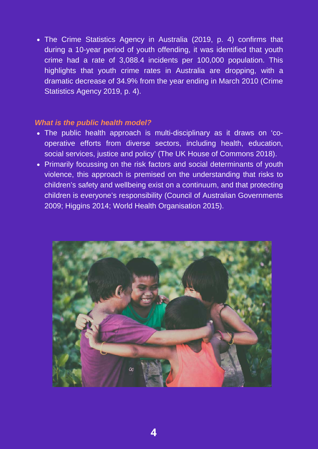The Crime Statistics Agency in Australia (2019, p. 4) confirms that during a 10-year period of youth offending, it was identified that youth crime had a rate of 3,088.4 incidents per 100,000 population. This highlights that youth crime rates in Australia are dropping, with a dramatic decrease of 34.9% from the year ending in March 2010 (Crime Statistics Agency 2019, p. 4).

#### *What is the public health model?*

- The public health approach is multi-disciplinary as it draws on 'cooperative efforts from diverse sectors, including health, education, social services, justice and policy' (The UK House of Commons 2018).
- Primarily focussing on the risk factors and social determinants of youth violence, this approach is premised on the understanding that risks to children's safety and wellbeing exist on a continuum, and that protecting children is everyone's responsibility (Council of Australian Governments 2009; Higgins 2014; World Health Organisation 2015).

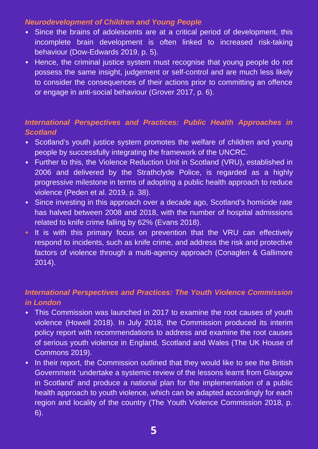#### *Neurodevelopment of Children and Young People*

- Since the brains of adolescents are at a critical period of development, this incomplete brain development is often linked to increased risk-taking behaviour (Dow-Edwards 2019, p. 5).
- Hence, the criminal justice system must recognise that young people do not possess the same insight, judgement or self-control and are much less likely to consider the consequences of their actions prior to committing an offence or engage in anti-social behaviour (Grover 2017, p. 6).

#### *International Perspectives and Practices: Public Health Approaches in Scotland*

- Scotland's youth justice system promotes the welfare of children and young people by successfully integrating the framework of the UNCRC.
- Further to this, the Violence Reduction Unit in Scotland (VRU), established in 2006 and delivered by the Strathclyde Police, is regarded as a highly progressive milestone in terms of adopting a public health approach to reduce violence (Peden et al. 2019, p. 38).
- Since investing in this approach over a decade ago, Scotland's homicide rate has halved between 2008 and 2018, with the number of hospital admissions related to knife crime falling by 62% (Evans 2018).
- It is with this primary focus on prevention that the VRU can effectively respond to incidents, such as knife crime, and address the risk and protective factors of violence through a multi-agency approach (Conaglen & Gallimore 2014).

#### *International Perspectives and Practices: The Youth Violence Commission in London*

- This Commission was launched in 2017 to examine the root causes of youth violence (Howell 2018). In July 2018, the Commission produced its interim policy report with recommendations to address and examine the root causes of serious youth violence in England, Scotland and Wales (The UK House of Commons 2019).
- In their report, the Commission outlined that they would like to see the British Government 'undertake a systemic review of the lessons learnt from Glasgow in Scotland' and produce a national plan for the implementation of a public health approach to youth violence, which can be adapted accordingly for each region and locality of the country (The Youth Violence Commission 2018, p. 6).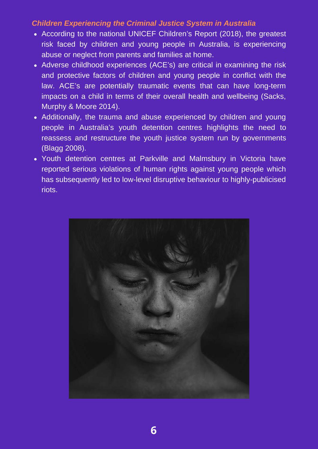#### *Children Experiencing the Criminal Justice System in Australia*

- According to the national UNICEF Children's Report (2018), the greatest risk faced by children and young people in Australia, is experiencing abuse or neglect from parents and families at home.
- Adverse childhood experiences (ACE's) are critical in examining the risk and protective factors of children and young people in conflict with the law. ACE's are potentially traumatic events that can have long-term impacts on a child in terms of their overall health and wellbeing (Sacks, Murphy & Moore 2014).
- Additionally, the trauma and abuse experienced by children and young people in Australia's youth detention centres highlights the need to reassess and restructure the youth justice system run by governments (Blagg 2008).
- Youth detention centres at Parkville and Malmsbury in Victoria have reported serious violations of human rights against young people which has subsequently led to low-level disruptive behaviour to highly-publicised riots.

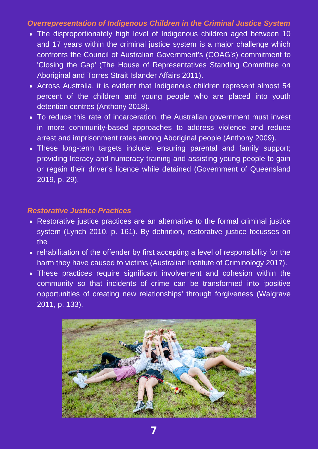#### *Overrepresentation of Indigenous Children in the Criminal Justice System*

- The disproportionately high level of Indigenous children aged between 10 and 17 years within the criminal justice system is a major challenge which confronts the Council of Australian Government's (COAG's) commitment to 'Closing the Gap' (The House of Representatives Standing Committee on Aboriginal and Torres Strait Islander Affairs 2011).
- Across Australia, it is evident that Indigenous children represent almost 54 percent of the children and young people who are placed into youth detention centres (Anthony 2018).
- To reduce this rate of incarceration, the Australian government must invest in more community-based approaches to address violence and reduce arrest and imprisonment rates among Aboriginal people (Anthony 2009).
- These long-term targets include: ensuring parental and family support; providing literacy and numeracy training and assisting young people to gain or regain their driver's licence while detained (Government of Queensland 2019, p. 29).

#### *Restorative Justice Practices*

- Restorative justice practices are an alternative to the formal criminal justice system (Lynch 2010, p. 161). By definition, restorative justice focusses on the
- rehabilitation of the offender by first accepting a level of responsibility for the harm they have caused to victims (Australian Institute of Criminology 2017).
- These practices require significant involvement and cohesion within the community so that incidents of crime can be transformed into 'positive opportunities of creating new relationships' through forgiveness (Walgrave 2011, p. 133).

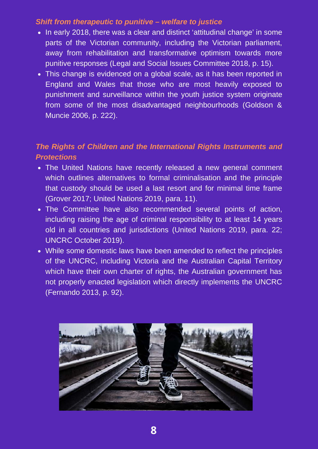#### *Shift from therapeutic to punitive – welfare to justice*

- In early 2018, there was a clear and distinct 'attitudinal change' in some parts of the Victorian community, including the Victorian parliament, away from rehabilitation and transformative optimism towards more punitive responses (Legal and Social Issues Committee 2018, p. 15).
- This change is evidenced on a global scale, as it has been reported in England and Wales that those who are most heavily exposed to punishment and surveillance within the youth justice system originate from some of the most disadvantaged neighbourhoods (Goldson & Muncie 2006, p. 222).

#### *The Rights of Children and the International Rights Instruments and Protections*

- The United Nations have recently released a new general comment which outlines alternatives to formal criminalisation and the principle that custody should be used a last resort and for minimal time frame (Grover 2017; United Nations 2019, para. 11).
- The Committee have also recommended several points of action, including raising the age of criminal responsibility to at least 14 years old in all countries and jurisdictions (United Nations 2019, para. 22; UNCRC October 2019).
- While some domestic laws have been amended to reflect the principles of the UNCRC, including Victoria and the Australian Capital Territory which have their own charter of rights, the Australian government has not properly enacted legislation which directly implements the UNCRC (Fernando 2013, p. 92).

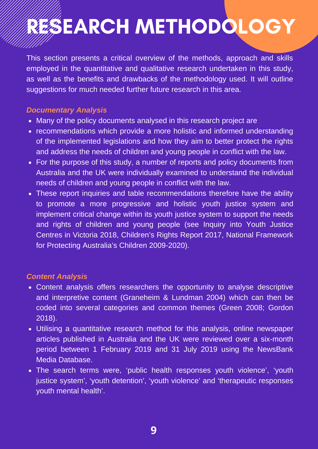## RESEARCH METHODOLOGY

This section presents a critical overview of the methods, approach and skills employed in the quantitative and qualitative research undertaken in this study, as well as the benefits and drawbacks of the methodology used. It will outline suggestions for much needed further future research in this area.

#### *Documentary Analysis*

- Many of the policy documents analysed in this research project are
- recommendations which provide a more holistic and informed understanding of the implemented legislations and how they aim to better protect the rights and address the needs of children and young people in conflict with the law.
- For the purpose of this study, a number of reports and policy documents from Australia and the UK were individually examined to understand the individual needs of children and young people in conflict with the law.
- These report inquiries and table recommendations therefore have the ability to promote a more progressive and holistic youth justice system and implement critical change within its youth justice system to support the needs and rights of children and young people (see Inquiry into Youth Justice Centres in Victoria 2018, Children's Rights Report 2017, National Framework for Protecting Australia's Children 2009-2020).

#### *Content Analysis*

- Content analysis offers researchers the opportunity to analyse descriptive and interpretive content (Graneheim & Lundman 2004) which can then be coded into several categories and common themes (Green 2008; Gordon 2018).
- Utilising a quantitative research method for this analysis, online newspaper articles published in Australia and the UK were reviewed over a six-month period between 1 February 2019 and 31 July 2019 using the NewsBank Media Database.
- The search terms were, 'public health responses youth violence', 'youth justice system', 'youth detention', 'youth violence' and 'therapeutic responses youth mental health'.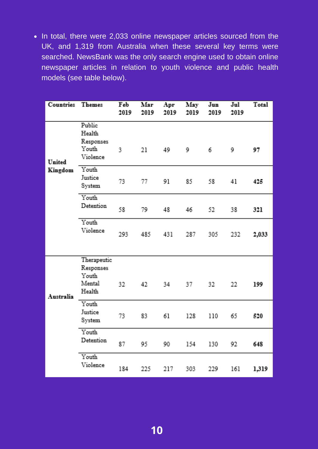• In total, there were 2,033 online newspaper articles sourced from the UK, and 1,319 from Australia when these several key terms were searched. NewsBank was the only search engine used to obtain online newspaper articles in relation to youth violence and public health models (see table below).

| <b>Countries</b>         | <b>Themes</b>                                             | Feb<br>2019 | Mar<br>$2019 -$ | Apr<br>2019 | May<br>2019 | Jun<br>2019 | $\mathbf{Jul}$<br>2019 | Total |
|--------------------------|-----------------------------------------------------------|-------------|-----------------|-------------|-------------|-------------|------------------------|-------|
| <b>United</b><br>Kingdom | <b>Public</b><br>Health<br>Responses<br>Youth<br>Violence | 3.          | 21              | 49 9        |             | 6.          | 9                      | 97    |
|                          | Youth<br>Justice<br><b>System</b>                         | 73.         | 77.             | -91         | 85 -        | -58.        | 41                     | 425   |
|                          | Youth<br>Detention                                        | 58          | 79 -            | $48 -$      | $46 -$      | -52         | -38                    | 321   |
|                          | Youth<br>Violence                                         | 293.        |                 | 485 431     | 287         | 305         | 232                    | 2,033 |
| Australia                | Therapeutic<br>Responses<br>Youth.<br>Mental<br>Health    | 32          | 42 34           |             |             | $32 -$      | 22.                    | 199   |
|                          | Youth<br>Justice<br><b>System</b>                         | 73.         | 83.             | 61          | 128         | 110         | 65.                    | 520   |
|                          | Youth<br>Detention                                        | 87          | 95.             | 90          | 154         | 130         | 92.                    | 648   |
|                          | Youth<br>Violence                                         | 184         | 225             | 217         | 303 -       | 229 -       | 161                    | 1,319 |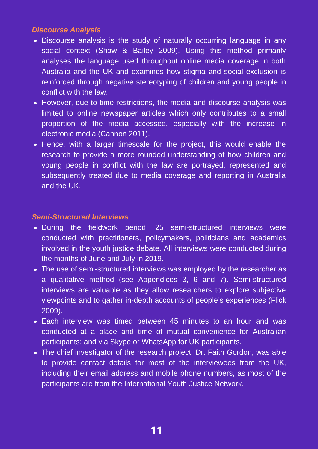#### *Discourse Analysis*

- Discourse analysis is the study of naturally occurring language in any social context (Shaw & Bailey 2009). Using this method primarily analyses the language used throughout online media coverage in both Australia and the UK and examines how stigma and social exclusion is reinforced through negative stereotyping of children and young people in conflict with the law.
- However, due to time restrictions, the media and discourse analysis was limited to online newspaper articles which only contributes to a small proportion of the media accessed, especially with the increase in electronic media (Cannon 2011).
- Hence, with a larger timescale for the project, this would enable the research to provide a more rounded understanding of how children and young people in conflict with the law are portrayed, represented and subsequently treated due to media coverage and reporting in Australia and the UK.

#### *Semi-Structured Interviews*

- During the fieldwork period, 25 semi-structured interviews were conducted with practitioners, policymakers, politicians and academics involved in the youth justice debate. All interviews were conducted during the months of June and July in 2019.
- The use of semi-structured interviews was employed by the researcher as a qualitative method (see Appendices 3, 6 and 7). Semi-structured interviews are valuable as they allow researchers to explore subjective viewpoints and to gather in-depth accounts of people's experiences (Flick 2009).
- Each interview was timed between 45 minutes to an hour and was conducted at a place and time of mutual convenience for Australian participants; and via Skype or WhatsApp for UK participants.
- The chief investigator of the research project, Dr. Faith Gordon, was able to provide contact details for most of the interviewees from the UK, including their email address and mobile phone numbers, as most of the participants are from the International Youth Justice Network.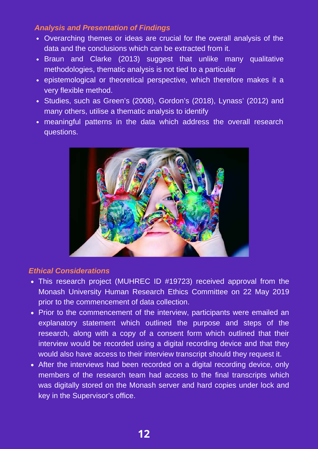#### *Analysis and Presentation of Findings*

- Overarching themes or ideas are crucial for the overall analysis of the data and the conclusions which can be extracted from it.
- Braun and Clarke (2013) suggest that unlike many qualitative methodologies, thematic analysis is not tied to a particular
- epistemological or theoretical perspective, which therefore makes it a very flexible method.
- Studies, such as Green's (2008), Gordon's (2018), Lynass' (2012) and many others, utilise a thematic analysis to identify
- meaningful patterns in the data which address the overall research questions.



#### *Ethical Considerations*

- This research project (MUHREC ID #19723) received approval from the Monash University Human Research Ethics Committee on 22 May 2019 prior to the commencement of data collection.
- Prior to the commencement of the interview, participants were emailed an explanatory statement which outlined the purpose and steps of the research, along with a copy of a consent form which outlined that their interview would be recorded using a digital recording device and that they would also have access to their interview transcript should they request it.
- After the interviews had been recorded on a digital recording device, only members of the research team had access to the final transcripts which was digitally stored on the Monash server and hard copies under lock and key in the Supervisor's office.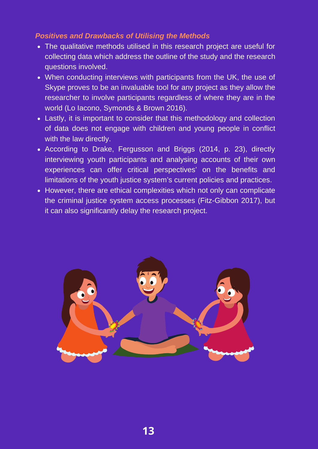#### *Positives and Drawbacks of Utilising the Methods*

- The qualitative methods utilised in this research project are useful for collecting data which address the outline of the study and the research questions involved.
- When conducting interviews with participants from the UK, the use of Skype proves to be an invaluable tool for any project as they allow the researcher to involve participants regardless of where they are in the world (Lo Iacono, Symonds & Brown 2016).
- Lastly, it is important to consider that this methodology and collection of data does not engage with children and young people in conflict with the law directly.
- According to Drake, Fergusson and Briggs (2014, p. 23), directly interviewing youth participants and analysing accounts of their own experiences can offer critical perspectives' on the benefits and limitations of the youth justice system's current policies and practices.
- However, there are ethical complexities which not only can complicate the criminal justice system access processes (Fitz-Gibbon 2017), but it can also significantly delay the research project.

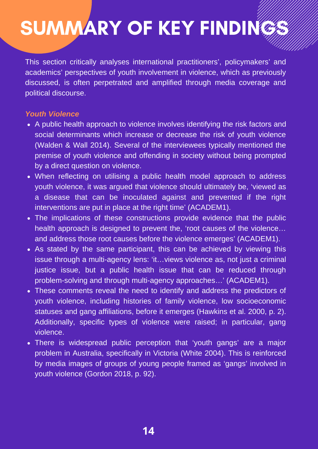## SUMMARY OF KEY FINDINGS

This section critically analyses international practitioners', policymakers' and academics' perspectives of youth involvement in violence, which as previously discussed, is often perpetrated and amplified through media coverage and political discourse.

#### *Youth Violence*

- A public health approach to violence involves identifying the risk factors and social determinants which increase or decrease the risk of youth violence (Walden & Wall 2014). Several of the interviewees typically mentioned the premise of youth violence and offending in society without being prompted by a direct question on violence.
- When reflecting on utilising a public health model approach to address youth violence, it was argued that violence should ultimately be, 'viewed as a disease that can be inoculated against and prevented if the right interventions are put in place at the right time' (ACADEM1).
- The implications of these constructions provide evidence that the public health approach is designed to prevent the, 'root causes of the violence… and address those root causes before the violence emerges' (ACADEM1).
- As stated by the same participant, this can be achieved by viewing this issue through a multi-agency lens: 'it…views violence as, not just a criminal justice issue, but a public health issue that can be reduced through problem-solving and through multi-agency approaches…' (ACADEM1).
- These comments reveal the need to identify and address the predictors of youth violence, including histories of family violence, low socioeconomic statuses and gang affiliations, before it emerges (Hawkins et al. 2000, p. 2). Additionally, specific types of violence were raised; in particular, gang violence.
- There is widespread public perception that 'youth gangs' are a major problem in Australia, specifically in Victoria (White 2004). This is reinforced by media images of groups of young people framed as 'gangs' involved in youth violence (Gordon 2018, p. 92).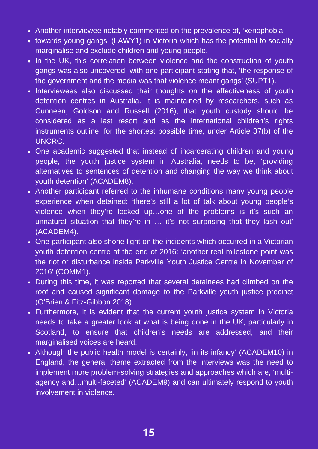- Another interviewee notably commented on the prevalence of, 'xenophobia
- towards young gangs' (LAWY1) in Victoria which has the potential to socially marginalise and exclude children and young people.
- In the UK, this correlation between violence and the construction of youth gangs was also uncovered, with one participant stating that, 'the response of the government and the media was that violence meant gangs' (SUPT1).
- Interviewees also discussed their thoughts on the effectiveness of youth detention centres in Australia. It is maintained by researchers, such as Cunneen, Goldson and Russell (2016), that youth custody should be considered as a last resort and as the international children's rights instruments outline, for the shortest possible time, under Article 37(b) of the UNCRC.
- One academic suggested that instead of incarcerating children and young people, the youth justice system in Australia, needs to be, 'providing alternatives to sentences of detention and changing the way we think about youth detention' (ACADEM8).
- Another participant referred to the inhumane conditions many young people experience when detained: 'there's still a lot of talk about young people's violence when they're locked up…one of the problems is it's such an unnatural situation that they're in … it's not surprising that they lash out' (ACADEM4).
- One participant also shone light on the incidents which occurred in a Victorian youth detention centre at the end of 2016: 'another real milestone point was the riot or disturbance inside Parkville Youth Justice Centre in November of 2016' (COMM1).
- During this time, it was reported that several detainees had climbed on the roof and caused significant damage to the Parkville youth justice precinct (O'Brien & Fitz-Gibbon 2018).
- Furthermore, it is evident that the current youth justice system in Victoria needs to take a greater look at what is being done in the UK, particularly in Scotland, to ensure that children's needs are addressed, and their marginalised voices are heard.
- Although the public health model is certainly, 'in its infancy' (ACADEM10) in England, the general theme extracted from the interviews was the need to implement more problem-solving strategies and approaches which are, 'multiagency and…multi-faceted' (ACADEM9) and can ultimately respond to youth involvement in violence.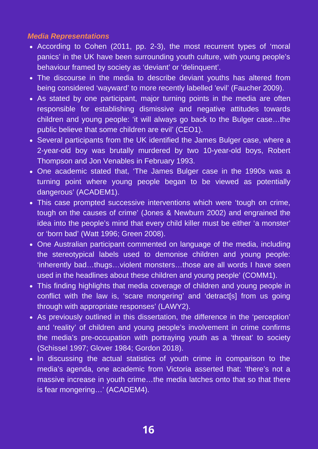#### *Media Representations*

- According to Cohen (2011, pp. 2-3), the most recurrent types of 'moral panics' in the UK have been surrounding youth culture, with young people's behaviour framed by society as 'deviant' or 'delinquent'.
- The discourse in the media to describe deviant youths has altered from being considered 'wayward' to more recently labelled 'evil' (Faucher 2009).
- As stated by one participant, major turning points in the media are often responsible for establishing dismissive and negative attitudes towards children and young people: 'it will always go back to the Bulger case…the public believe that some children are evil' (CEO1).
- Several participants from the UK identified the James Bulger case, where a 2-year-old boy was brutally murdered by two 10-year-old boys, Robert Thompson and Jon Venables in February 1993.
- One academic stated that, 'The James Bulger case in the 1990s was a turning point where young people began to be viewed as potentially dangerous' (ACADEM1).
- This case prompted successive interventions which were 'tough on crime, tough on the causes of crime' (Jones & Newburn 2002) and engrained the idea into the people's mind that every child killer must be either 'a monster' or 'born bad' (Watt 1996; Green 2008).
- One Australian participant commented on language of the media, including the stereotypical labels used to demonise children and young people: 'inherently bad…thugs…violent monsters…those are all words I have seen used in the headlines about these children and young people' (COMM1).
- This finding highlights that media coverage of children and young people in conflict with the law is, 'scare mongering' and 'detract[s] from us going through with appropriate responses' (LAWY2).
- As previously outlined in this dissertation, the difference in the 'perception' and 'reality' of children and young people's involvement in crime confirms the media's pre-occupation with portraying youth as a 'threat' to society (Schissel 1997; Glover 1984; Gordon 2018).
- In discussing the actual statistics of youth crime in comparison to the media's agenda, one academic from Victoria asserted that: 'there's not a massive increase in youth crime…the media latches onto that so that there is fear mongering…' (ACADEM4).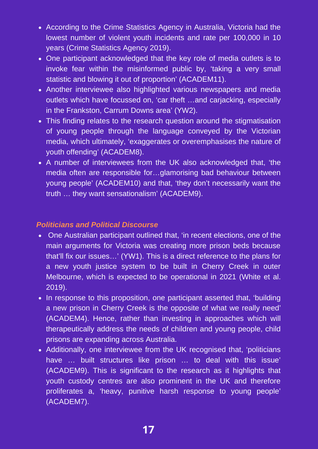- According to the Crime Statistics Agency in Australia, Victoria had the lowest number of violent youth incidents and rate per 100,000 in 10 years (Crime Statistics Agency 2019).
- One participant acknowledged that the key role of media outlets is to invoke fear within the misinformed public by, 'taking a very small statistic and blowing it out of proportion' (ACADEM11).
- Another interviewee also highlighted various newspapers and media outlets which have focussed on, 'car theft …and carjacking, especially in the Frankston, Carrum Downs area' (YW2).
- This finding relates to the research question around the stigmatisation of young people through the language conveyed by the Victorian media, which ultimately, 'exaggerates or overemphasises the nature of youth offending' (ACADEM8).
- A number of interviewees from the UK also acknowledged that, 'the media often are responsible for…glamorising bad behaviour between young people' (ACADEM10) and that, 'they don't necessarily want the truth … they want sensationalism' (ACADEM9).

#### *Politicians and Political Discourse*

- One Australian participant outlined that, 'in recent elections, one of the main arguments for Victoria was creating more prison beds because that'll fix our issues…' (YW1). This is a direct reference to the plans for a new youth justice system to be built in Cherry Creek in outer Melbourne, which is expected to be operational in 2021 (White et al. 2019).
- In response to this proposition, one participant asserted that, 'building a new prison in Cherry Creek is the opposite of what we really need' (ACADEM4). Hence, rather than investing in approaches which will therapeutically address the needs of children and young people, child prisons are expanding across Australia.
- Additionally, one interviewee from the UK recognised that, 'politicians have ... built structures like prison ... to deal with this issue' (ACADEM9). This is significant to the research as it highlights that youth custody centres are also prominent in the UK and therefore proliferates a, 'heavy, punitive harsh response to young people' (ACADEM7).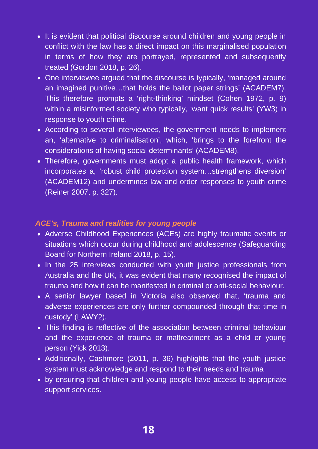- It is evident that political discourse around children and young people in conflict with the law has a direct impact on this marginalised population in terms of how they are portrayed, represented and subsequently treated (Gordon 2018, p. 26).
- One interviewee argued that the discourse is typically, 'managed around an imagined punitive…that holds the ballot paper strings' (ACADEM7). This therefore prompts a 'right-thinking' mindset (Cohen 1972, p. 9) within a misinformed society who typically, 'want quick results' (YW3) in response to youth crime.
- According to several interviewees, the government needs to implement an, 'alternative to criminalisation', which, 'brings to the forefront the considerations of having social determinants' (ACADEM8).
- Therefore, governments must adopt a public health framework, which incorporates a, 'robust child protection system…strengthens diversion' (ACADEM12) and undermines law and order responses to youth crime (Reiner 2007, p. 327).

#### *ACE's, Trauma and realities for young people*

- Adverse Childhood Experiences (ACEs) are highly traumatic events or situations which occur during childhood and adolescence (Safeguarding Board for Northern Ireland 2018, p. 15).
- In the 25 interviews conducted with youth justice professionals from Australia and the UK, it was evident that many recognised the impact of trauma and how it can be manifested in criminal or anti-social behaviour.
- A senior lawyer based in Victoria also observed that, 'trauma and adverse experiences are only further compounded through that time in custody' (LAWY2).
- This finding is reflective of the association between criminal behaviour and the experience of trauma or maltreatment as a child or young person (Yick 2013).
- Additionally, Cashmore (2011, p. 36) highlights that the youth justice system must acknowledge and respond to their needs and trauma
- by ensuring that children and young people have access to appropriate support services.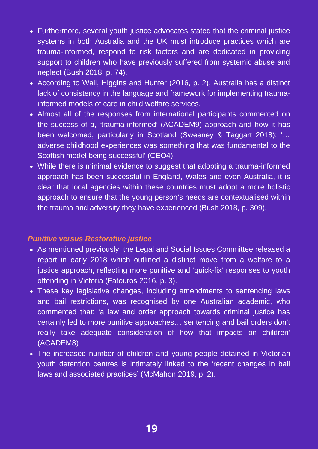- Furthermore, several youth justice advocates stated that the criminal justice systems in both Australia and the UK must introduce practices which are trauma-informed, respond to risk factors and are dedicated in providing support to children who have previously suffered from systemic abuse and neglect (Bush 2018, p. 74).
- According to Wall, Higgins and Hunter (2016, p. 2), Australia has a distinct lack of consistency in the language and framework for implementing traumainformed models of care in child welfare services.
- Almost all of the responses from international participants commented on the success of a, 'trauma-informed' (ACADEM9) approach and how it has been welcomed, particularly in Scotland (Sweeney & Taggart 2018): '… adverse childhood experiences was something that was fundamental to the Scottish model being successful' (CEO4).
- While there is minimal evidence to suggest that adopting a trauma-informed approach has been successful in England, Wales and even Australia, it is clear that local agencies within these countries must adopt a more holistic approach to ensure that the young person's needs are contextualised within the trauma and adversity they have experienced (Bush 2018, p. 309).

#### *Punitive versus Restorative justice*

- As mentioned previously, the Legal and Social Issues Committee released a report in early 2018 which outlined a distinct move from a welfare to a justice approach, reflecting more punitive and 'quick-fix' responses to youth offending in Victoria (Fatouros 2016, p. 3).
- These key legislative changes, including amendments to sentencing laws and bail restrictions, was recognised by one Australian academic, who commented that: 'a law and order approach towards criminal justice has certainly led to more punitive approaches… sentencing and bail orders don't really take adequate consideration of how that impacts on children' (ACADEM8).
- The increased number of children and young people detained in Victorian youth detention centres is intimately linked to the 'recent changes in bail laws and associated practices' (McMahon 2019, p. 2).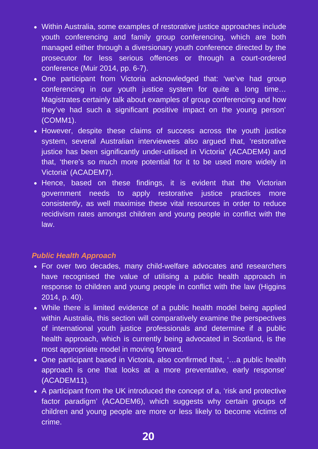- Within Australia, some examples of restorative justice approaches include youth conferencing and family group conferencing, which are both managed either through a diversionary youth conference directed by the prosecutor for less serious offences or through a court-ordered conference (Muir 2014, pp. 6-7).
- One participant from Victoria acknowledged that: 'we've had group conferencing in our youth justice system for quite a long time… Magistrates certainly talk about examples of group conferencing and how they've had such a significant positive impact on the young person' (COMM1).
- However, despite these claims of success across the youth justice system, several Australian interviewees also argued that, 'restorative justice has been significantly under-utilised in Victoria' (ACADEM4) and that, 'there's so much more potential for it to be used more widely in Victoria' (ACADEM7).
- Hence, based on these findings, it is evident that the Victorian government needs to apply restorative justice practices more consistently, as well maximise these vital resources in order to reduce recidivism rates amongst children and young people in conflict with the law.

#### *Public Health Approach*

- For over two decades, many child-welfare advocates and researchers have recognised the value of utilising a public health approach in response to children and young people in conflict with the law (Higgins 2014, p. 40).
- While there is limited evidence of a public health model being applied within Australia, this section will comparatively examine the perspectives of international youth justice professionals and determine if a public health approach, which is currently being advocated in Scotland, is the most appropriate model in moving forward.
- One participant based in Victoria, also confirmed that, '…a public health approach is one that looks at a more preventative, early response' (ACADEM11).
- A participant from the UK introduced the concept of a, 'risk and protective factor paradigm' (ACADEM6), which suggests why certain groups of children and young people are more or less likely to become victims of crime.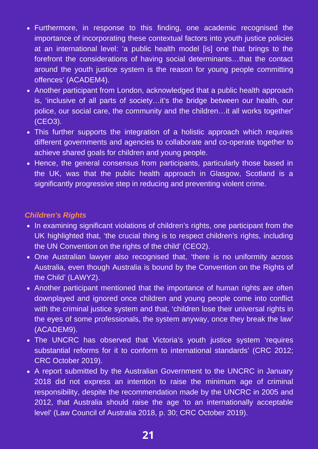- Furthermore, in response to this finding, one academic recognised the importance of incorporating these contextual factors into youth justice policies at an international level: 'a public health model [is] one that brings to the forefront the considerations of having social determinants…that the contact around the youth justice system is the reason for young people committing offences' (ACADEM4).
- Another participant from London, acknowledged that a public health approach is, 'inclusive of all parts of society…it's the bridge between our health, our police, our social care, the community and the children…it all works together' (CEO3).
- This further supports the integration of a holistic approach which requires different governments and agencies to collaborate and co-operate together to achieve shared goals for children and young people.
- Hence, the general consensus from participants, particularly those based in the UK, was that the public health approach in Glasgow, Scotland is a significantly progressive step in reducing and preventing violent crime.

#### *Children's Rights*

- In examining significant violations of children's rights, one participant from the UK highlighted that, 'the crucial thing is to respect children's rights, including the UN Convention on the rights of the child' (CEO2).
- One Australian lawyer also recognised that, 'there is no uniformity across Australia, even though Australia is bound by the Convention on the Rights of the Child' (LAWY2).
- Another participant mentioned that the importance of human rights are often downplayed and ignored once children and young people come into conflict with the criminal justice system and that, 'children lose their universal rights in the eyes of some professionals, the system anyway, once they break the law' (ACADEM9).
- The UNCRC has observed that Victoria's youth justice system 'requires substantial reforms for it to conform to international standards' (CRC 2012; CRC October 2019).
- A report submitted by the Australian Government to the UNCRC in January 2018 did not express an intention to raise the minimum age of criminal responsibility, despite the recommendation made by the UNCRC in 2005 and 2012, that Australia should raise the age 'to an internationally acceptable level' (Law Council of Australia 2018, p. 30; CRC October 2019).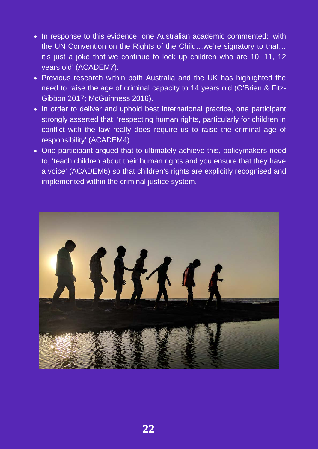- In response to this evidence, one Australian academic commented: 'with the UN Convention on the Rights of the Child…we're signatory to that… it's just a joke that we continue to lock up children who are 10, 11, 12 years old' (ACADEM7).
- Previous research within both Australia and the UK has highlighted the need to raise the age of criminal capacity to 14 years old (O'Brien & Fitz-Gibbon 2017; McGuinness 2016).
- In order to deliver and uphold best international practice, one participant strongly asserted that, 'respecting human rights, particularly for children in conflict with the law really does require us to raise the criminal age of responsibility' (ACADEM4).
- One participant argued that to ultimately achieve this, policymakers need to, 'teach children about their human rights and you ensure that they have a voice' (ACADEM6) so that children's rights are explicitly recognised and implemented within the criminal justice system.

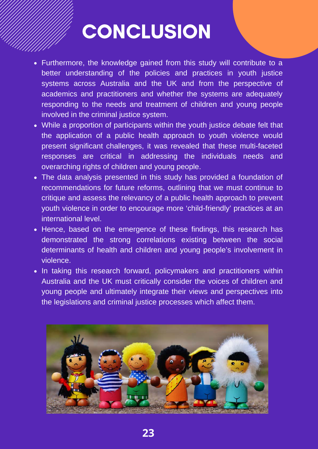### **CONCLUSION**

- Furthermore, the knowledge gained from this study will contribute to a better understanding of the policies and practices in youth justice systems across Australia and the UK and from the perspective of academics and practitioners and whether the systems are adequately responding to the needs and treatment of children and young people involved in the criminal justice system.
- While a proportion of participants within the youth justice debate felt that the application of a public health approach to youth violence would present significant challenges, it was revealed that these multi-faceted responses are critical in addressing the individuals needs and overarching rights of children and young people.
- The data analysis presented in this study has provided a foundation of recommendations for future reforms, outlining that we must continue to critique and assess the relevancy of a public health approach to prevent youth violence in order to encourage more 'child-friendly' practices at an international level.
- Hence, based on the emergence of these findings, this research has demonstrated the strong correlations existing between the social determinants of health and children and young people's involvement in violence.
- In taking this research forward, policymakers and practitioners within Australia and the UK must critically consider the voices of children and young people and ultimately integrate their views and perspectives into the legislations and criminal justice processes which affect them.

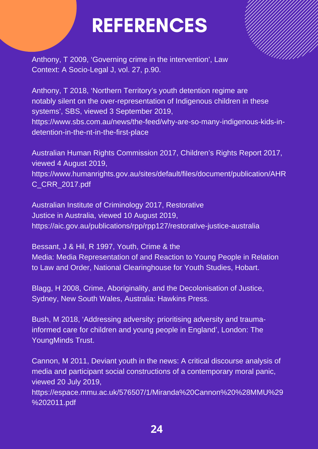### REFERENCES

Anthony, T 2009, 'Governing crime in the intervention', Law Context: A Socio-Legal J, vol. 27, p.90.

Anthony, T 2018, 'Northern Territory's youth detention regime are notably silent on the over-representation of Indigenous children in these systems', SBS, viewed 3 September 2019, https://www.sbs.com.au/news/the-feed/why-are-so-many-indigenous-kids-indetention-in-the-nt-in-the-first-place

Australian Human Rights Commission 2017, Children's Rights Report 2017, viewed 4 August 2019, https://www.humanrights.gov.au/sites/default/files/document/publication/AHR C\_CRR\_2017.pdf

Australian Institute of Criminology 2017, Restorative Justice in Australia, viewed 10 August 2019, https://aic.gov.au/publications/rpp/rpp127/restorative-justice-australia

Bessant, J & Hil, R 1997, Youth, Crime & the Media: Media Representation of and Reaction to Young People in Relation to Law and Order, National Clearinghouse for Youth Studies, Hobart.

Blagg, H 2008, Crime, Aboriginality, and the Decolonisation of Justice, Sydney, New South Wales, Australia: Hawkins Press.

Bush, M 2018, 'Addressing adversity: prioritising adversity and traumainformed care for children and young people in England', London: The YoungMinds Trust.

Cannon, M 2011, Deviant youth in the news: A critical discourse analysis of media and participant social constructions of a contemporary moral panic, viewed 20 July 2019,

https://espace.mmu.ac.uk/576507/1/Miranda%20Cannon%20%28MMU%29 %202011.pdf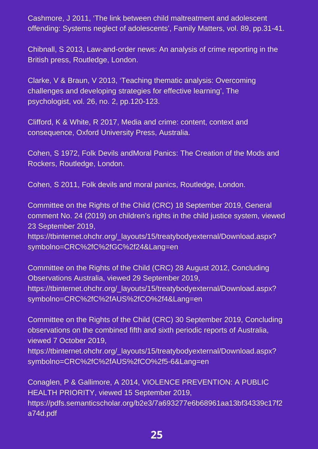Cashmore, J 2011, 'The link between child maltreatment and adolescent offending: Systems neglect of adolescents', Family Matters, vol. 89, pp.31-41.

Chibnall, S 2013, Law-and-order news: An analysis of crime reporting in the British press, Routledge, London.

Clarke, V & Braun, V 2013, 'Teaching thematic analysis: Overcoming challenges and developing strategies for effective learning', The psychologist, vol. 26, no. 2, pp.120-123.

Clifford, K & White, R 2017, Media and crime: content, context and consequence, Oxford University Press, Australia.

Cohen, S 1972, Folk Devils andMoral Panics: The Creation of the Mods and Rockers, Routledge, London.

Cohen, S 2011, Folk devils and moral panics, Routledge, London.

Committee on the Rights of the Child (CRC) 18 September 2019, General comment No. 24 (2019) on children's rights in the child justice system, viewed 23 September 2019,

https://tbinternet.ohchr.org/\_layouts/15/treatybodyexternal/Download.aspx? symbolno=CRC%2fC%2fGC%2f24&Lang=en

Committee on the Rights of the Child (CRC) 28 August 2012, Concluding Observations Australia, viewed 29 September 2019, https://tbinternet.ohchr.org/\_layouts/15/treatybodyexternal/Download.aspx? symbolno=CRC%2fC%2fAUS%2fCO%2f4&Lang=en

Committee on the Rights of the Child (CRC) 30 September 2019, Concluding observations on the combined fifth and sixth periodic reports of Australia, viewed 7 October 2019,

https://tbinternet.ohchr.org/\_layouts/15/treatybodyexternal/Download.aspx? symbolno=CRC%2fC%2fAUS%2fCO%2f5-6&Lang=en

Conaglen, P & Gallimore, A 2014, VIOLENCE PREVENTION: A PUBLIC HEALTH PRIORITY, viewed 15 September 2019, https://pdfs.semanticscholar.org/b2e3/7a693277e6b68961aa13bf34339c17f2 a74d.pdf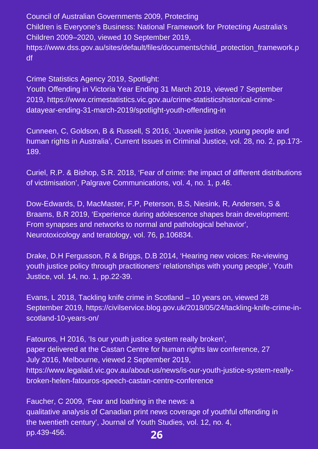Council of Australian Governments 2009, Protecting Children is Everyone's Business: National Framework for Protecting Australia's Children 2009–2020, viewed 10 September 2019, https://www.dss.gov.au/sites/default/files/documents/child\_protection\_framework.p df

Crime Statistics Agency 2019, Spotlight:

Youth Offending in Victoria Year Ending 31 March 2019, viewed 7 September 2019, https://www.crimestatistics.vic.gov.au/crime-statisticshistorical-crimedatayear-ending-31-march-2019/spotlight-youth-offending-in

Cunneen, C, Goldson, B & Russell, S 2016, 'Juvenile justice, young people and human rights in Australia', Current Issues in Criminal Justice, vol. 28, no. 2, pp.173- 189.

Curiel, R.P. & Bishop, S.R. 2018, 'Fear of crime: the impact of different distributions of victimisation', Palgrave Communications, vol. 4, no. 1, p.46.

Dow-Edwards, D, MacMaster, F.P, Peterson, B.S, Niesink, R, Andersen, S & Braams, B.R 2019, 'Experience during adolescence shapes brain development: From synapses and networks to normal and pathological behavior', Neurotoxicology and teratology, vol. 76, p.106834.

Drake, D.H Fergusson, R & Briggs, D.B 2014, 'Hearing new voices: Re-viewing youth justice policy through practitioners' relationships with young people', Youth Justice, vol. 14, no. 1, pp.22-39.

Evans, L 2018, Tackling knife crime in Scotland – 10 years on, viewed 28 September 2019, https://civilservice.blog.gov.uk/2018/05/24/tackling-knife-crime-inscotland-10-years-on/

Fatouros, H 2016, 'Is our youth justice system really broken', paper delivered at the Castan Centre for human rights law conference, 27 July 2016, Melbourne, viewed 2 September 2019, https://www.legalaid.vic.gov.au/about-us/news/is-our-youth-justice-system-reallybroken-helen-fatouros-speech-castan-centre-conference

**26** Faucher, C 2009, 'Fear and loathing in the news: a qualitative analysis of Canadian print news coverage of youthful offending in the twentieth century', Journal of Youth Studies, vol. 12, no. 4, pp.439-456.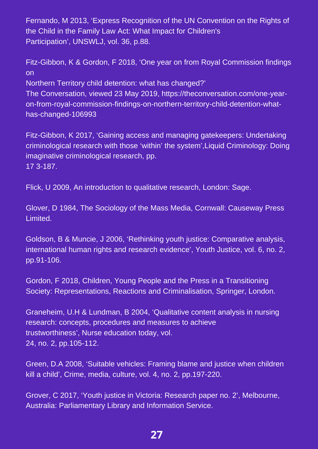Fernando, M 2013, 'Express Recognition of the UN Convention on the Rights of the Child in the Family Law Act: What Impact for Children's Participation', UNSWLJ, vol. 36, p.88.

Fitz-Gibbon, K & Gordon, F 2018, 'One year on from Royal Commission findings on Northern Territory child detention: what has changed?' The Conversation, viewed 23 May 2019, https://theconversation.com/one-yearon-from-royal-commission-findings-on-northern-territory-child-detention-what-

has-changed-106993

Fitz-Gibbon, K 2017, 'Gaining access and managing gatekeepers: Undertaking criminological research with those 'within' the system',Liquid Criminology: Doing imaginative criminological research, pp. 17 3-187.

Flick, U 2009, An introduction to qualitative research, London: Sage.

Glover, D 1984, The Sociology of the Mass Media, Cornwall: Causeway Press Limited.

Goldson, B & Muncie, J 2006, 'Rethinking youth justice: Comparative analysis, international human rights and research evidence', Youth Justice, vol. 6, no. 2, pp.91-106.

Gordon, F 2018, Children, Young People and the Press in a Transitioning Society: Representations, Reactions and Criminalisation, Springer, London.

Graneheim, U.H & Lundman, B 2004, 'Qualitative content analysis in nursing research: concepts, procedures and measures to achieve trustworthiness', Nurse education today, vol. 24, no. 2, pp.105-112.

Green, D.A 2008, 'Suitable vehicles: Framing blame and justice when children kill a child', Crime, media, culture, vol. 4, no. 2, pp.197-220.

Grover, C 2017, 'Youth justice in Victoria: Research paper no. 2', Melbourne, Australia: Parliamentary Library and Information Service.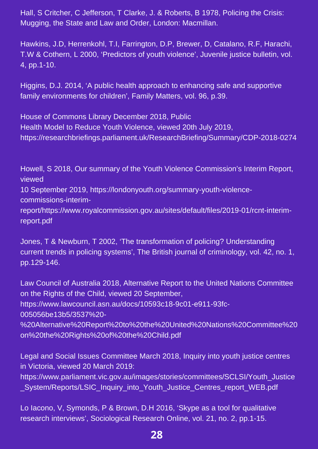Hall, S Critcher, C Jefferson, T Clarke, J. & Roberts, B 1978, Policing the Crisis: Mugging, the State and Law and Order, London: Macmillan.

Hawkins, J.D, Herrenkohl, T.I, Farrington, D.P, Brewer, D, Catalano, R.F, Harachi, T.W & Cothern, L 2000, 'Predictors of youth violence', Juvenile justice bulletin, vol. 4, pp.1-10.

Higgins, D.J. 2014, 'A public health approach to enhancing safe and supportive family environments for children', Family Matters, vol. 96, p.39.

House of Commons Library December 2018, Public Health Model to Reduce Youth Violence, viewed 20th July 2019, https://researchbriefings.parliament.uk/ResearchBriefing/Summary/CDP-2018-0274

Howell, S 2018, Our summary of the Youth Violence Commission's Interim Report, viewed 10 September 2019, https://londonyouth.org/summary-youth-violencecommissions-interimreport/https://www.royalcommission.gov.au/sites/default/files/2019-01/rcnt-interim-

Jones, T & Newburn, T 2002, 'The transformation of policing? Understanding current trends in policing systems', The British journal of criminology, vol. 42, no. 1, pp.129-146.

Law Council of Australia 2018, Alternative Report to the United Nations Committee on the Rights of the Child, viewed 20 September, https://www.lawcouncil.asn.au/docs/10593c18-9c01-e911-93fc-005056be13b5/3537%20- %20Alternative%20Report%20to%20the%20United%20Nations%20Committee%20

on%20the%20Rights%20of%20the%20Child.pdf

report.pdf

Legal and Social Issues Committee March 2018, Inquiry into youth justice centres in Victoria, viewed 20 March 2019:

https://www.parliament.vic.gov.au/images/stories/committees/SCLSI/Youth\_Justice \_System/Reports/LSIC\_Inquiry\_into\_Youth\_Justice\_Centres\_report\_WEB.pdf

Lo Iacono, V, Symonds, P & Brown, D.H 2016, 'Skype as a tool for qualitative research interviews', Sociological Research Online, vol. 21, no. 2, pp.1-15.

#### **28**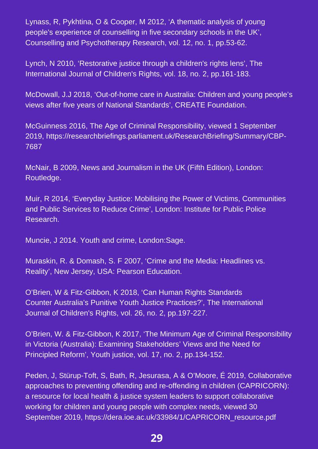Lynass, R, Pykhtina, O & Cooper, M 2012, 'A thematic analysis of young people's experience of counselling in five secondary schools in the UK', Counselling and Psychotherapy Research, vol. 12, no. 1, pp.53-62.

Lynch, N 2010, 'Restorative justice through a children's rights lens', The International Journal of Children's Rights, vol. 18, no. 2, pp.161-183.

McDowall, J.J 2018, 'Out-of-home care in Australia: Children and young people's views after five years of National Standards', CREATE Foundation.

McGuinness 2016, The Age of Criminal Responsibility, viewed 1 September 2019, https://researchbriefings.parliament.uk/ResearchBriefing/Summary/CBP-7687

McNair, B 2009, News and Journalism in the UK (Fifth Edition), London: Routledge.

Muir, R 2014, 'Everyday Justice: Mobilising the Power of Victims, Communities and Public Services to Reduce Crime', London: Institute for Public Police Research.

Muncie, J 2014. Youth and crime, London:Sage.

Muraskin, R. & Domash, S. F 2007, 'Crime and the Media: Headlines vs. Reality', New Jersey, USA: Pearson Education.

O'Brien, W & Fitz-Gibbon, K 2018, 'Can Human Rights Standards Counter Australia's Punitive Youth Justice Practices?', The International Journal of Children's Rights, vol. 26, no. 2, pp.197-227.

O'Brien, W. & Fitz-Gibbon, K 2017, 'The Minimum Age of Criminal Responsibility in Victoria (Australia): Examining Stakeholders' Views and the Need for Principled Reform', Youth justice, vol. 17, no. 2, pp.134-152.

Peden, J, Stürup-Toft, S, Bath, R, Jesurasa, A & O'Moore, É 2019, Collaborative approaches to preventing offending and re-offending in children (CAPRICORN): a resource for local health & justice system leaders to support collaborative working for children and young people with complex needs, viewed 30 September 2019, https://dera.ioe.ac.uk/33984/1/CAPRICORN\_resource.pdf

**29**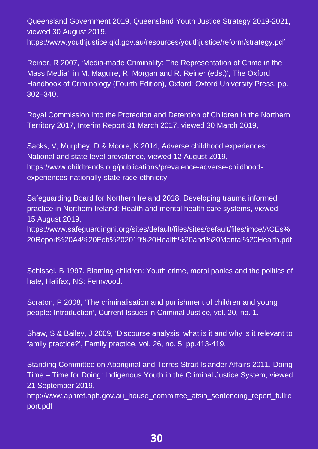Queensland Government 2019, Queensland Youth Justice Strategy 2019-2021, viewed 30 August 2019,

https://www.youthjustice.qld.gov.au/resources/youthjustice/reform/strategy.pdf

Reiner, R 2007, 'Media-made Criminality: The Representation of Crime in the Mass Media', in M. Maguire, R. Morgan and R. Reiner (eds.)', The Oxford Handbook of Criminology (Fourth Edition), Oxford: Oxford University Press, pp. 302–340.

Royal Commission into the Protection and Detention of Children in the Northern Territory 2017, Interim Report 31 March 2017, viewed 30 March 2019,

Sacks, V, Murphey, D & Moore, K 2014, Adverse childhood experiences: National and state-level prevalence, viewed 12 August 2019, https://www.childtrends.org/publications/prevalence-adverse-childhoodexperiences-nationally-state-race-ethnicity

Safeguarding Board for Northern Ireland 2018, Developing trauma informed practice in Northern Ireland: Health and mental health care systems, viewed 15 August 2019,

https://www.safeguardingni.org/sites/default/files/sites/default/files/imce/ACEs% 20Report%20A4%20Feb%202019%20Health%20and%20Mental%20Health.pdf

Schissel, B 1997, Blaming children: Youth crime, moral panics and the politics of hate, Halifax, NS: Fernwood.

Scraton, P 2008, 'The criminalisation and punishment of children and young people: Introduction', Current Issues in Criminal Justice, vol. 20, no. 1.

Shaw, S & Bailey, J 2009, 'Discourse analysis: what is it and why is it relevant to family practice?', Family practice, vol. 26, no. 5, pp.413-419.

Standing Committee on Aboriginal and Torres Strait Islander Affairs 2011, Doing Time – Time for Doing: Indigenous Youth in the Criminal Justice System, viewed 21 September 2019,

http://www.aphref.aph.gov.au\_house\_committee\_atsia\_sentencing\_report\_fullre port.pdf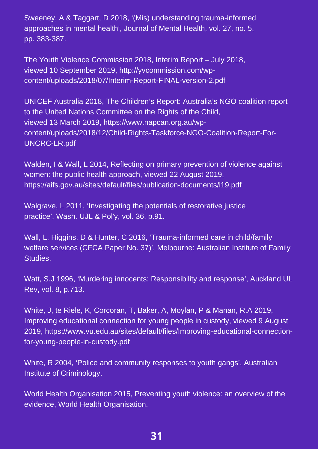Sweeney, A & Taggart, D 2018, '(Mis) understanding trauma-informed approaches in mental health', Journal of Mental Health, vol. 27, no. 5, pp. 383-387.

The Youth Violence Commission 2018, Interim Report – July 2018, viewed 10 September 2019, http://yvcommission.com/wpcontent/uploads/2018/07/Interim-Report-FINAL-version-2.pdf

UNICEF Australia 2018, The Children's Report: Australia's NGO coalition report to the United Nations Committee on the Rights of the Child, viewed 13 March 2019, https://www.napcan.org.au/wpcontent/uploads/2018/12/Child-Rights-Taskforce-NGO-Coalition-Report-For-UNCRC-LR.pdf

Walden, I & Wall, L 2014, Reflecting on primary prevention of violence against women: the public health approach, viewed 22 August 2019, https://aifs.gov.au/sites/default/files/publication-documents/i19.pdf

Walgrave, L 2011, 'Investigating the potentials of restorative justice practice', Wash. UJL & Pol'y, vol. 36, p.91.

Wall, L, Higgins, D & Hunter, C 2016, 'Trauma-informed care in child/family welfare services (CFCA Paper No. 37)', Melbourne: Australian Institute of Family Studies.

Watt, S.J 1996, 'Murdering innocents: Responsibility and response', Auckland UL Rev, vol. 8, p.713.

White, J, te Riele, K, Corcoran, T, Baker, A, Moylan, P & Manan, R.A 2019, Improving educational connection for young people in custody, viewed 9 August 2019, https://www.vu.edu.au/sites/default/files/Improving-educational-connectionfor-young-people-in-custody.pdf

White, R 2004, 'Police and community responses to youth gangs', Australian Institute of Criminology.

World Health Organisation 2015, Preventing youth violence: an overview of the evidence, World Health Organisation.